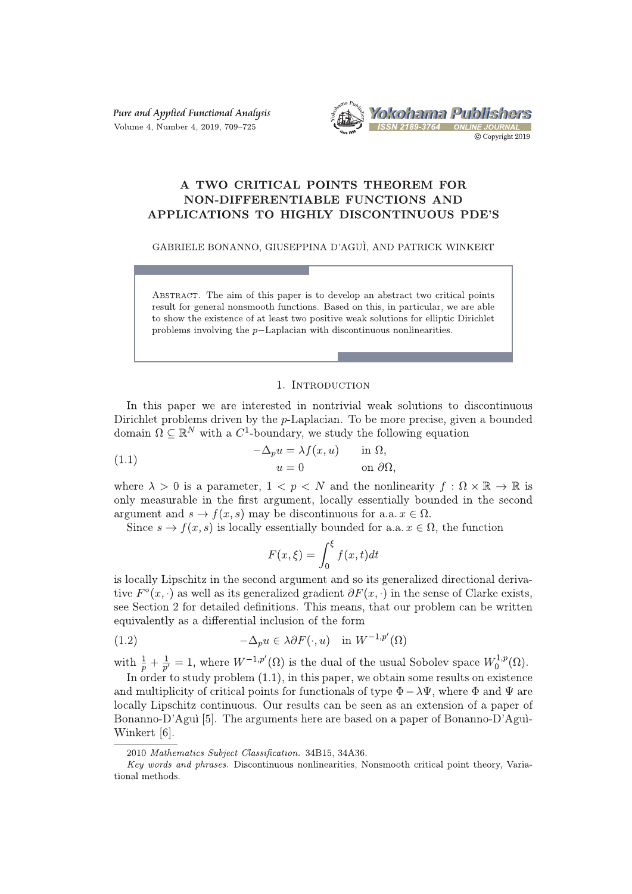Pure and Applied Functional Analysis Volume 4, Number 4, 2019, 709-725



# A TWO CRITICAL POINTS THEOREM FOR **NON-DIFFERENTIABLE FUNCTIONS AND** APPLICATIONS TO HIGHLY DISCONTINUOUS PDE'S

GABRIELE BONANNO, GIUSEPPINA D'AGUÌ, AND PATRICK WINKERT

ABSTRACT. The aim of this paper is to develop an abstract two critical points result for general nonsmooth functions. Based on this, in particular, we are able to show the existence of at least two positive weak solutions for elliptic Dirichlet problems involving the  $p$ -Laplacian with discontinuous nonlinearities.

### 1. INTRODUCTION

In this paper we are interested in nontrivial weak solutions to discontinuous Dirichlet problems driven by the  $p$ -Laplacian. To be more precise, given a bounded domain  $\Omega \subseteq \mathbb{R}^N$  with a C<sup>1</sup>-boundary, we study the following equation

(1.1) 
$$
-\Delta_p u = \lambda f(x, u) \quad \text{in } \Omega,
$$

$$
u = 0 \quad \text{on } \partial\Omega,
$$

where  $\lambda > 0$  is a parameter,  $1 < p < N$  and the nonlinearity  $f : \Omega \times \mathbb{R} \to \mathbb{R}$  is only measurable in the first argument, locally essentially bounded in the second argument and  $s \to f(x, s)$  may be discontinuous for a.a.  $x \in \Omega$ .

Since  $s \to f(x, s)$  is locally essentially bounded for a.a.  $x \in \Omega$ , the function

$$
F(x,\xi) = \int_0^{\xi} f(x,t)dt
$$

is locally Lipschitz in the second argument and so its generalized directional derivative  $F^{\circ}(x, \cdot)$  as well as its generalized gradient  $\partial F(x, \cdot)$  in the sense of Clarke exists, see Section 2 for detailed definitions. This means, that our problem can be written equivalently as a differential inclusion of the form

(1.2) 
$$
-\Delta_p u \in \lambda \partial F(\cdot, u) \quad \text{in } W^{-1,p'}(\Omega)
$$

with  $\frac{1}{p} + \frac{1}{p'} = 1$ , where  $W^{-1,p'}(\Omega)$  is the dual of the usual Sobolev space  $W_0^{1,p}(\Omega)$ .

In order to study problem  $(1.1)$ , in this paper, we obtain some results on existence and multiplicity of critical points for functionals of type  $\Phi - \lambda \Psi$ , where  $\Phi$  and  $\Psi$  are locally Lipschitz continuous. Our results can be seen as an extension of a paper of Bonanno-D'Aguì [5]. The arguments here are based on a paper of Bonanno-D'Aguì-Winkert [6].

<sup>2010</sup> Mathematics Subject Classification. 34B15, 34A36.

Key words and phrases. Discontinuous nonlinearities, Nonsmooth critical point theory, Variational methods.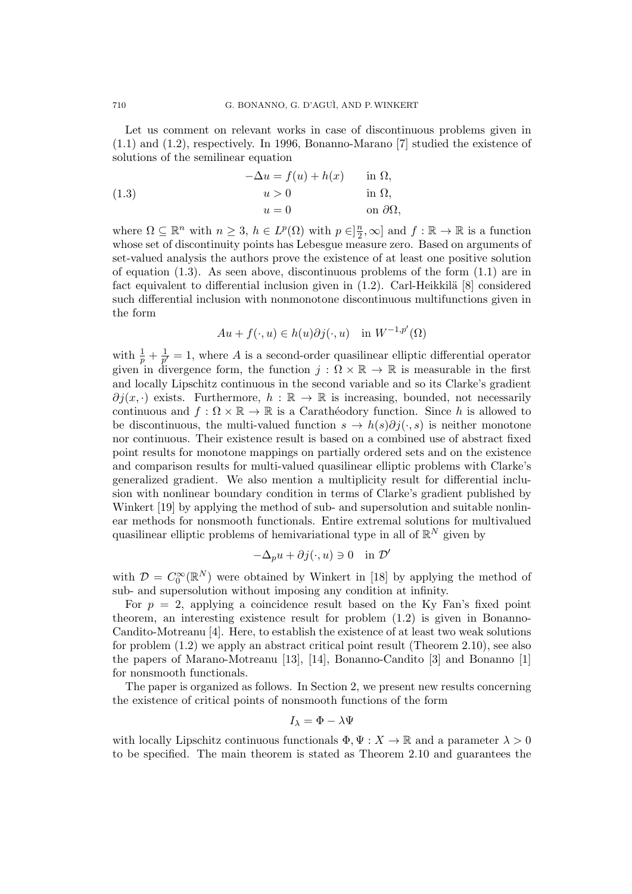Let us comment on relevant works in case of discontinuous problems given in (1.1) and (1.2), respectively. In 1996, Bonanno-Marano [7] studied the existence of solutions of the semilinear equation

(1.3) 
$$
-\Delta u = f(u) + h(x) \quad \text{in } \Omega,
$$

$$
u > 0 \quad \text{in } \Omega,
$$

$$
u = 0 \quad \text{on } \partial\Omega,
$$

where  $\Omega \subseteq \mathbb{R}^n$  with  $n \geq 3$ ,  $h \in L^p(\Omega)$  with  $p \in ]\frac{n}{2}$  $\frac{n}{2}, \infty$  and  $f : \mathbb{R} \to \mathbb{R}$  is a function whose set of discontinuity points has Lebesgue measure zero. Based on arguments of set-valued analysis the authors prove the existence of at least one positive solution of equation (1.3). As seen above, discontinuous problems of the form (1.1) are in fact equivalent to differential inclusion given in  $(1.2)$ . Carl-Heikkilä [8] considered such differential inclusion with nonmonotone discontinuous multifunctions given in the form

$$
Au + f(\cdot, u) \in h(u)\partial j(\cdot, u) \quad \text{in } W^{-1,p'}(\Omega)
$$

with  $\frac{1}{p} + \frac{1}{p'}$  $\frac{1}{p'} = 1$ , where *A* is a second-order quasilinear elliptic differential operator given in divergence form, the function  $j : \Omega \times \mathbb{R} \to \mathbb{R}$  is measurable in the first and locally Lipschitz continuous in the second variable and so its Clarke's gradient  $\partial j(x, \cdot)$  exists. Furthermore,  $h : \mathbb{R} \to \mathbb{R}$  is increasing, bounded, not necessarily continuous and  $f : \Omega \times \mathbb{R} \to \mathbb{R}$  is a Carathéodory function. Since *h* is allowed to be discontinuous, the multi-valued function  $s \to h(s)\partial j(\cdot, s)$  is neither monotone nor continuous. Their existence result is based on a combined use of abstract fixed point results for monotone mappings on partially ordered sets and on the existence and comparison results for multi-valued quasilinear elliptic problems with Clarke's generalized gradient. We also mention a multiplicity result for differential inclusion with nonlinear boundary condition in terms of Clarke's gradient published by Winkert [19] by applying the method of sub- and supersolution and suitable nonlinear methods for nonsmooth functionals. Entire extremal solutions for multivalued quasilinear elliptic problems of hemivariational type in all of  $\mathbb{R}^N$  given by

$$
-\Delta_p u + \partial j(\cdot, u) \ni 0 \quad \text{in } \mathcal{D}'
$$

with  $\mathcal{D} = C_0^{\infty}(\mathbb{R}^N)$  were obtained by Winkert in [18] by applying the method of sub- and supersolution without imposing any condition at infinity.

For  $p = 2$ , applying a coincidence result based on the Ky Fan's fixed point theorem, an interesting existence result for problem (1.2) is given in Bonanno-Candito-Motreanu [4]. Here, to establish the existence of at least two weak solutions for problem (1.2) we apply an abstract critical point result (Theorem 2.10), see also the papers of Marano-Motreanu [13], [14], Bonanno-Candito [3] and Bonanno [1] for nonsmooth functionals.

The paper is organized as follows. In Section 2, we present new results concerning the existence of critical points of nonsmooth functions of the form

$$
I_{\lambda} = \Phi - \lambda \Psi
$$

with locally Lipschitz continuous functionals  $\Phi, \Psi : X \to \mathbb{R}$  and a parameter  $\lambda > 0$ to be specified. The main theorem is stated as Theorem 2.10 and guarantees the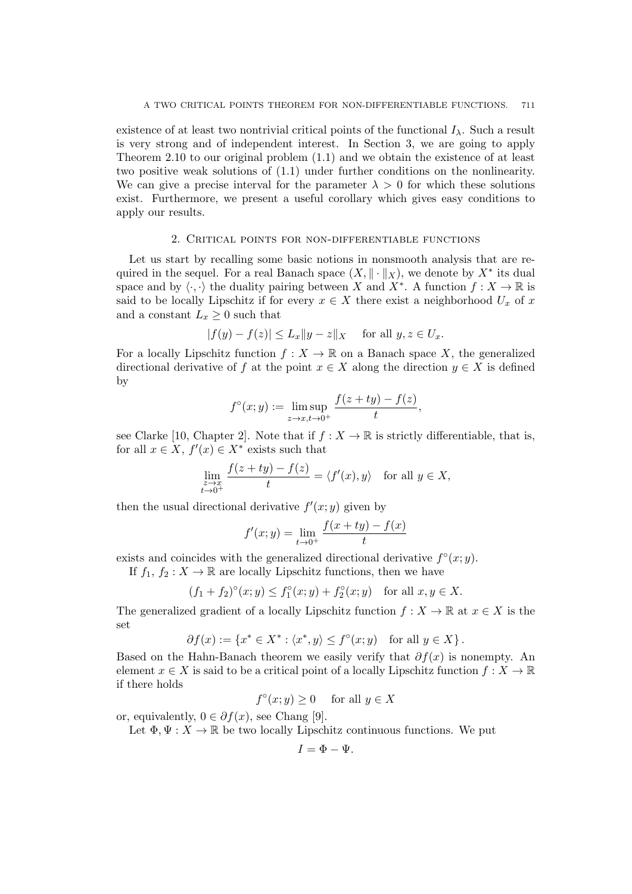existence of at least two nontrivial critical points of the functional  $I_\lambda$ . Such a result is very strong and of independent interest. In Section 3, we are going to apply Theorem 2.10 to our original problem (1.1) and we obtain the existence of at least two positive weak solutions of (1.1) under further conditions on the nonlinearity. We can give a precise interval for the parameter  $\lambda > 0$  for which these solutions exist. Furthermore, we present a useful corollary which gives easy conditions to apply our results.

## 2. Critical points for non-differentiable functions

Let us start by recalling some basic notions in nonsmooth analysis that are required in the sequel. For a real Banach space  $(X, \|\cdot\|_X)$ , we denote by  $X^*$  its dual space and by  $\langle \cdot, \cdot \rangle$  the duality pairing between *X* and *X*<sup>\*</sup>. A function  $f: X \to \mathbb{R}$  is said to be locally Lipschitz if for every  $x \in X$  there exist a neighborhood  $U_x$  of  $x$ and a constant  $L_x \geq 0$  such that

$$
|f(y) - f(z)| \le L_x \|y - z\|_X \quad \text{ for all } y, z \in U_x.
$$

For a locally Lipschitz function  $f: X \to \mathbb{R}$  on a Banach space X, the generalized directional derivative of *f* at the point  $x \in X$  along the direction  $y \in X$  is defined by

$$
f^{\circ}(x; y) := \limsup_{z \to x, t \to 0^+} \frac{f(z + ty) - f(z)}{t},
$$

see Clarke [10, Chapter 2]. Note that if  $f : X \to \mathbb{R}$  is strictly differentiable, that is, for all  $x \in X$ ,  $f'(x) \in X^*$  exists such that

$$
\lim_{\substack{z \to x \\ t \to 0^+}} \frac{f(z + ty) - f(z)}{t} = \langle f'(x), y \rangle \quad \text{for all } y \in X,
$$

then the usual directional derivative  $f'(x; y)$  given by

$$
f'(x; y) = \lim_{t \to 0^+} \frac{f(x + ty) - f(x)}{t}
$$

exists and coincides with the generalized directional derivative  $f^{\circ}(x; y)$ .

If  $f_1, f_2: X \to \mathbb{R}$  are locally Lipschitz functions, then we have

$$
(f_1 + f_2)^{\circ}(x; y) \le f_1^{\circ}(x; y) + f_2^{\circ}(x; y)
$$
 for all  $x, y \in X$ .

The generalized gradient of a locally Lipschitz function  $f: X \to \mathbb{R}$  at  $x \in X$  is the set

$$
\partial f(x) := \{ x^* \in X^* : \langle x^*, y \rangle \le f^{\circ}(x; y) \text{ for all } y \in X \}.
$$

Based on the Hahn-Banach theorem we easily verify that  $\partial f(x)$  is nonempty. An element  $x \in X$  is said to be a critical point of a locally Lipschitz function  $f: X \to \mathbb{R}$ if there holds

 $f^{\circ}(x; y) \geq 0$  for all  $y \in X$ 

or, equivalently,  $0 \in \partial f(x)$ , see Chang [9].

Let  $\Phi, \Psi : X \to \mathbb{R}$  be two locally Lipschitz continuous functions. We put

$$
I=\Phi-\Psi.
$$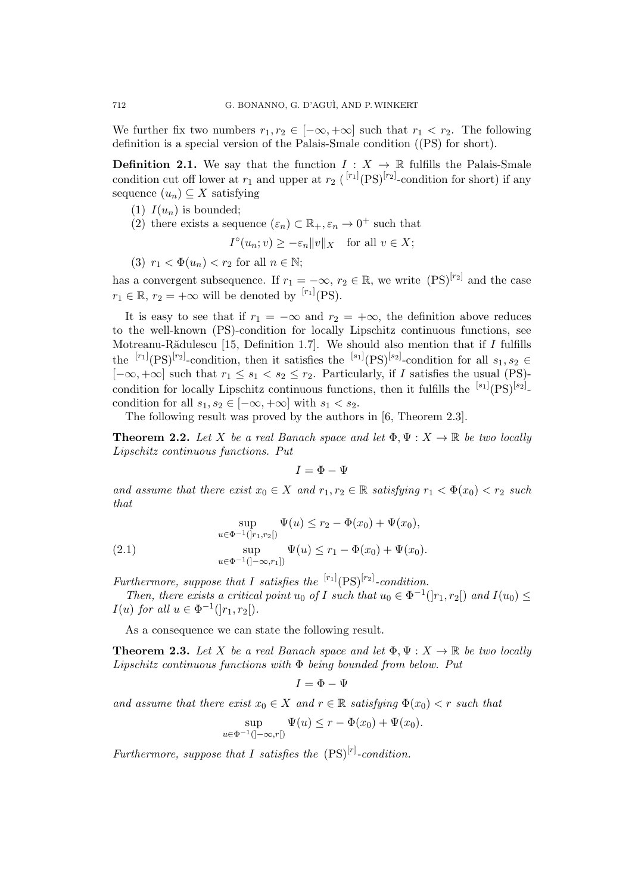We further fix two numbers  $r_1, r_2 \in [-\infty, +\infty]$  such that  $r_1 < r_2$ . The following definition is a special version of the Palais-Smale condition ((PS) for short).

**Definition 2.1.** We say that the function  $I: X \to \mathbb{R}$  fulfills the Palais-Smale condition cut off lower at  $r_1$  and upper at  $r_2$  ( $\binom{[r_1]}{(PS)}^{[r_2]}$ -condition for short) if any sequence  $(u_n) \subseteq X$  satisfying

- (1)  $I(u_n)$  is bounded;
- (2) there exists a sequence  $(\varepsilon_n) \subset \mathbb{R}_+, \varepsilon_n \to 0^+$  such that

$$
I^{\circ}(u_n; v) \geq -\varepsilon_n \|v\|_X \quad \text{for all } v \in X;
$$

(3)  $r_1 < \Phi(u_n) < r_2$  for all  $n \in \mathbb{N}$ ;

has a convergent subsequence. If  $r_1 = -\infty$ ,  $r_2 \in \mathbb{R}$ , we write  $(PS)^{[r_2]}$  and the case  $r_1 \in \mathbb{R}, r_2 = +\infty$  will be denoted by <sup>[*r*<sub>1</sub>]</sup>(PS).

It is easy to see that if  $r_1 = -\infty$  and  $r_2 = +\infty$ , the definition above reduces to the well-known (PS)-condition for locally Lipschitz continuous functions, see Motreanu-Rădulescu [15, Definition 1.7]. We should also mention that if *I* fulfills the  $[r_1]$ <sub>(PS</sub>)<sup>[r<sub>2</sub>]</sup>-condition, then it satisfies the  $[s_1]$ <sub>(PS</sub>)<sup>[s<sub>2</sub>]</sup>-condition for all  $s_1, s_2 \in$  $[-\infty, +\infty]$  such that  $r_1 \leq s_1 < s_2 \leq r_2$ . Particularly, if *I* satisfies the usual (PS)condition for locally Lipschitz continuous functions, then it fulfills the  $[<sup>s1</sup>](PS)<sup>[s2]</sup>$ condition for all  $s_1, s_2 \in [-\infty, +\infty]$  with  $s_1 < s_2$ .

The following result was proved by the authors in [6, Theorem 2.3].

**Theorem 2.2.** Let *X* be a real Banach space and let  $\Phi, \Psi : X \to \mathbb{R}$  be two locally *Lipschitz continuous functions. Put*

 $I = \Phi - \Psi$ 

*and assume that there exist*  $x_0 \in X$  *and*  $r_1, r_2 \in \mathbb{R}$  *satisfying*  $r_1 < \Phi(x_0) < r_2$  *such that*

(2.1) 
$$
\sup_{u \in \Phi^{-1}(|r_1, r_2|)} \Psi(u) \le r_2 - \Phi(x_0) + \Psi(x_0),
$$

$$
\sup_{u \in \Phi^{-1}(|-\infty, r_1|)} \Psi(u) \le r_1 - \Phi(x_0) + \Psi(x_0).
$$

*Furthermore, suppose that I satisfies the*  $[<sup>r1</sup>](PS)<sup>[r2]</sup>$ -condition.

*Then, there exists a critical point*  $u_0$  *of I such that*  $u_0 \in \Phi^{-1}([r_1, r_2])$  *and*  $I(u_0) \leq$ *I*(*u*) *for all*  $u \in \Phi^{-1}(|r_1, r_2|)$ *.* 

As a consequence we can state the following result.

**Theorem 2.3.** Let *X* be a real Banach space and let  $\Phi, \Psi : X \to \mathbb{R}$  be two locally *Lipschitz continuous functions with* Φ *being bounded from below. Put*

$$
I = \Phi - \Psi
$$

*and assume that there exist*  $x_0 \in X$  *and*  $r \in \mathbb{R}$  *satisfying*  $\Phi(x_0) < r$  *such that* 

$$
\sup_{u \in \Phi^{-1}([-\infty,r[)} \Psi(u) \le r - \Phi(x_0) + \Psi(x_0).
$$

*Furthermore, suppose that I satisfies the*  $(PS)^{[r]}$ -condition.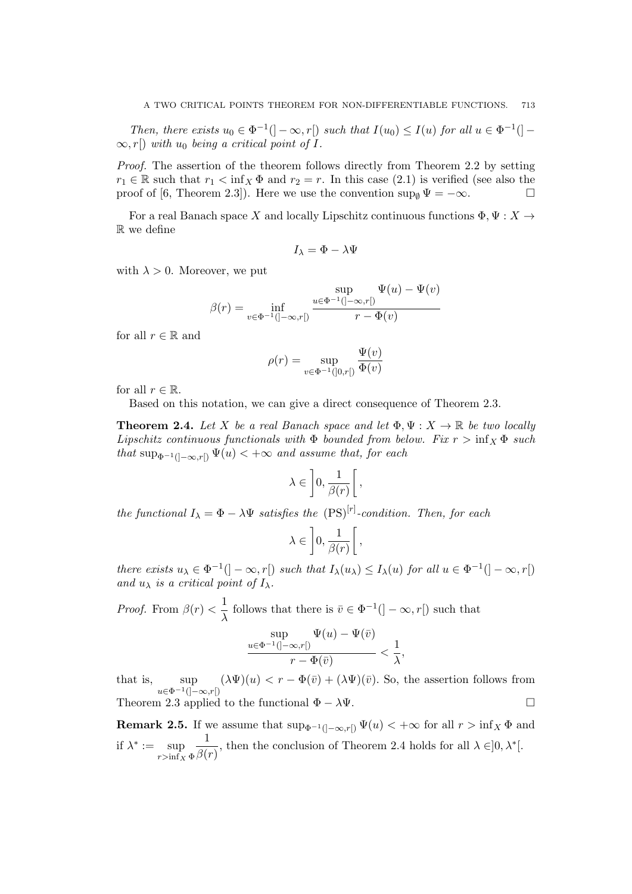*Then, there exists*  $u_0 \in \Phi^{-1}(\ ] - \infty, r[\ ]$  *such that*  $I(u_0) \leq I(u)$  *for all*  $u \in \Phi^{-1}(\ ]$  $\infty$ , *r*[) *with*  $u_0$  *being a critical point of I.* 

*Proof.* The assertion of the theorem follows directly from Theorem 2.2 by setting  $r_1 \in \mathbb{R}$  such that  $r_1 < \inf_X \Phi$  and  $r_2 = r$ . In this case (2.1) is verified (see also the proof of [6, Theorem 2.3]). Here we use the convention  $\sup_{\emptyset} \Psi = -\infty$ .

For a real Banach space *X* and locally Lipschitz continuous functions  $\Phi, \Psi : X \rightarrow$ R we define

$$
I_{\lambda} = \Phi - \lambda \Psi
$$

with  $\lambda > 0$ . Moreover, we put

$$
\beta(r) = \inf_{v \in \Phi^{-1}(\mathcal{I} - \infty, r\mathcal{I})} \frac{\sup_{u \in \Phi^{-1}(\mathcal{I} - \infty, r\mathcal{I})} \Psi(u) - \Psi(v)}{r - \Phi(v)}
$$

for all  $r \in \mathbb{R}$  and

$$
\rho(r) = \sup_{v \in \Phi^{-1}(]0,r[)} \frac{\Psi(v)}{\Phi(v)}
$$

for all  $r \in \mathbb{R}$ .

Based on this notation, we can give a direct consequence of Theorem 2.3.

**Theorem 2.4.** Let *X* be a real Banach space and let  $\Phi, \Psi : X \to \mathbb{R}$  be two locally *Lipschitz continuous functionals with*  $\Phi$  *bounded from below. Fix*  $r > \inf_X \Phi$  *such that*  $\sup_{\Phi^{-1}(]-\infty,r[)} \Psi(u) < +\infty$  *and assume that, for each* 

$$
\lambda\in\left]0,\frac{1}{\beta(r)}\right[,
$$

*the functional*  $I_{\lambda} = \Phi - \lambda \Psi$  *satisfies the*  $(PS)^{[r]}$ -condition. Then, for each

$$
\lambda \in \left]0, \frac{1}{\beta(r)}\right[,
$$

there exists  $u_{\lambda} \in \Phi^{-1}(\mathcal{I} - \infty, r\mathcal{I})$  such that  $I_{\lambda}(u_{\lambda}) \leq I_{\lambda}(u)$  for all  $u \in \Phi^{-1}(\mathcal{I} - \infty, r\mathcal{I})$ *and*  $u_{\lambda}$  *is a critical point of*  $I_{\lambda}$ *.* 

*Proof.* From  $\beta(r) < \frac{1}{r}$  $\frac{1}{\lambda}$  follows that there is  $\bar{v} \in \Phi^{-1}(\,] - \infty, r[)$  such that sup *u∈*Φ*−*1(]*−∞,r*[)  $\Psi(u) - \Psi(\bar{v})$  $\frac{\partial \infty, r[)}{\partial r - \Phi(\bar{v})} < \frac{1}{\lambda}$ *λ ,*

that is, sup *u∈*Φ*−*1(]*−∞,r*[)  $(\lambda \Psi)(u) < r - \Phi(\bar{v}) + (\lambda \Psi)(\bar{v})$ . So, the assertion follows from Theorem 2.3 applied to the functional  $\Phi - \lambda \Psi$ .

**Remark 2.5.** If we assume that  $\sup_{\Phi^{-1}(]-\infty,r[)} \Psi(u) < +\infty$  for all  $r > \inf_{X} \Phi$  and if  $\lambda^* := \sup$  $r$ >inf<sub>*X*</sub>  $\Phi$ 1  $\frac{1}{\beta(r)}$ , then the conclusion of Theorem 2.4 holds for all  $\lambda \in ]0, \lambda^*[$ .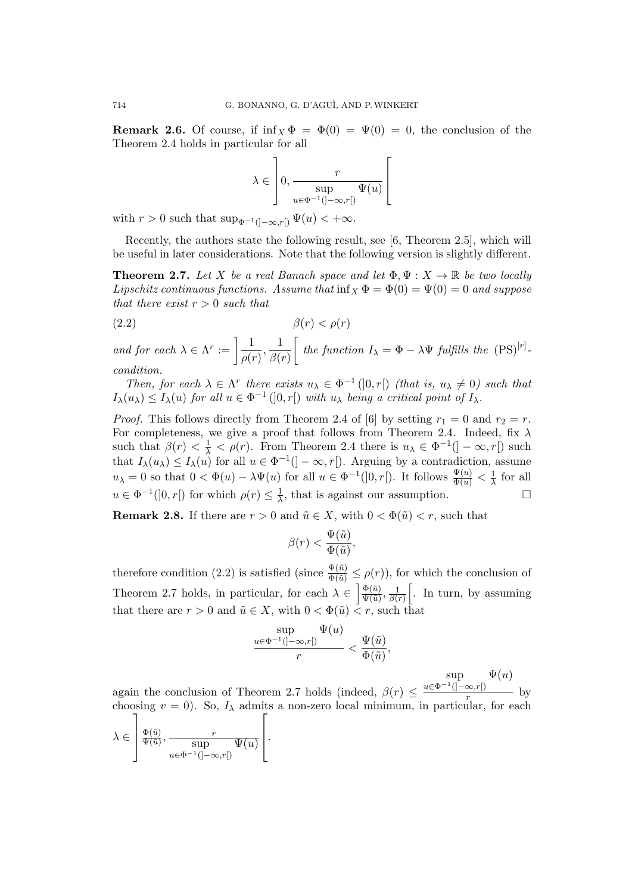**Remark 2.6.** Of course, if  $\inf_{X} \Phi = \Phi(0) = \Psi(0) = 0$ , the conclusion of the Theorem 2.4 holds in particular for all

$$
\lambda \in \left]0, \frac{r}{\sup_{u \in \Phi^{-1}(]-\infty, r[)} \Psi(u)} \right[
$$

with  $r > 0$  such that  $\sup_{\Phi^{-1}(]-\infty,r[)} \Psi(u) < +\infty$ .

Recently, the authors state the following result, see [6, Theorem 2.5], which will be useful in later considerations. Note that the following version is slightly different.

**Theorem 2.7.** Let *X* be a real Banach space and let  $\Phi, \Psi : X \to \mathbb{R}$  be two locally *Lipschitz continuous functions. Assume that*  $\inf_X \Phi = \Phi(0) = \Psi(0) = 0$  *and suppose that there exist r >* 0 *such that*

(2.2) *β*(*r*) *< ρ*(*r*)

*and for each*  $\lambda \in \Lambda^r := \left[ \frac{1}{\lambda} \right]$  $\frac{1}{\rho(r)}, \frac{1}{\beta(r)}$ *β*(*r*)  $\int$  *the function*  $I_{\lambda} = \Phi - \lambda \Psi$  *fulfills the*  $(PS)^{[r]}$ . *condition.*

*Then, for each*  $\lambda \in \Lambda^r$  *there exists*  $u_{\lambda} \in \Phi^{-1}(0,r)$  *(that is,*  $u_{\lambda} \neq 0$ *) such that*  $I_{\lambda}(u_{\lambda}) \leq I_{\lambda}(u)$  *for all*  $u \in \Phi^{-1}(]0, r[)$  *with*  $u_{\lambda}$  *being a critical point of*  $I_{\lambda}$ *.* 

*Proof.* This follows directly from Theorem 2.4 of [6] by setting  $r_1 = 0$  and  $r_2 = r$ . For completeness, we give a proof that follows from Theorem 2.4. Indeed, fix *λ* such that  $\beta(r) < \frac{1}{\lambda} < \rho(r)$ . From Theorem 2.4 there is  $u_{\lambda} \in \Phi^{-1}(|-\infty, r|)$  such that  $I_\lambda(u_\lambda) \leq I_\lambda(u)$  for all  $u \in \Phi^{-1}([-\infty, r])$ . Arguing by a contradiction, assume  $u_{\lambda} = 0$  so that  $0 < \Phi(u) - \lambda \Psi(u)$  for all  $u \in \Phi^{-1}(]0, r[)$ . It follows  $\frac{\Psi(u)}{\Phi(u)} < \frac{1}{\lambda}$  $\frac{1}{\lambda}$  for all  $u \in \Phi^{-1}(]0, r[)$  for which  $\rho(r) \leq \frac{1}{\lambda}$  $\frac{1}{\lambda}$ , that is against our assumption. □

**Remark 2.8.** If there are  $r > 0$  and  $\tilde{u} \in X$ , with  $0 < \Phi(\tilde{u}) < r$ , such that

$$
\beta(r) < \frac{\Psi(\tilde{u})}{\Phi(\tilde{u})},
$$

therefore condition (2.2) is satisfied (since  $\frac{\Psi(\tilde{u})}{\Phi(\tilde{u})} \leq \rho(r)$ ), for which the conclusion of Theorem 2.7 holds, in particular, for each  $\lambda \in \left[\frac{\Phi(\tilde{u})}{\Psi(\tilde{u})}\right]$  $\frac{\Phi(\tilde u)}{\Psi(\tilde u)}, \frac{1}{\beta(\tilde u)}$  $\frac{1}{\beta(r)}$ . In turn, by assuming that there are  $r > 0$  and  $\tilde{u} \in X$ , with  $0 < \Phi(\tilde{u}) < r$ , such that

$$
\frac{\displaystyle\sup_{u\in \Phi^{-1}(]-\infty,r[)}\Psi(u)}{r}<\frac{\Psi(\tilde u)}{\Phi(\tilde u)},
$$

sup  $\Psi(u)$ 

again the conclusion of Theorem 2.7 holds (indeed, *β*(*r*) *≤ u∈*Φ*−*1(]*−∞,r*[)  $\frac{f(x,y)}{r}$  by choosing  $v = 0$ ). So,  $I_{\lambda}$  admits a non-zero local minimum, in particular, for each

$$
\lambda \in \left] \frac{\Phi(\tilde{u})}{\Psi(\tilde{u})}, \frac{r}{\sup_{u \in \Phi^{-1}(]-\infty, r[)} \Psi(u)} \right[.
$$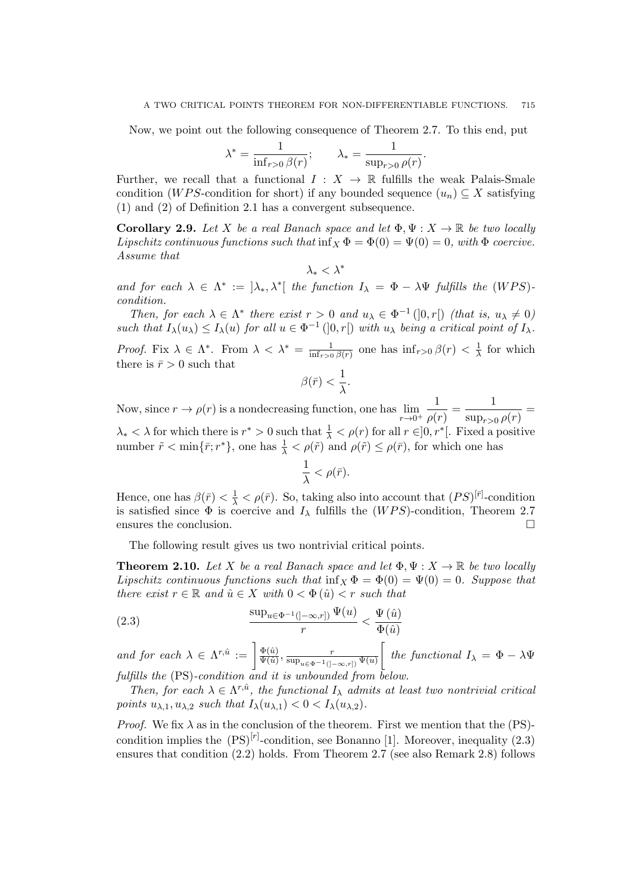Now, we point out the following consequence of Theorem 2.7. To this end, put

$$
\lambda^* = \frac{1}{\inf_{r>0} \beta(r)}; \qquad \lambda_* = \frac{1}{\sup_{r>0} \rho(r)}.
$$

Further, we recall that a functional  $I: X \to \mathbb{R}$  fulfills the weak Palais-Smale condition (*WPS*-condition for short) if any bounded sequence  $(u_n) \subseteq X$  satisfying (1) and (2) of Definition 2.1 has a convergent subsequence.

**Corollary 2.9.** *Let X be a real Banach space and let*  $\Phi, \Psi : X \to \mathbb{R}$  *be two locally Lipschitz continuous functions such that*  $\inf_X \Phi = \Phi(0) = \Psi(0) = 0$ *, with*  $\Phi$  *coercive. Assume that*

$$
\lambda_*<\lambda^*
$$

*and for each*  $\lambda \in \Lambda^* := [\lambda_*, \lambda^*]$  *the function*  $I_{\lambda} = \Phi - \lambda \Psi$  *fulfills the* (*WPS*)*condition.*

*Then, for each*  $\lambda \in \Lambda^*$  *there exist*  $r > 0$  *and*  $u_{\lambda} \in \Phi^{-1}(0, r[)$  *(that is,*  $u_{\lambda} \neq 0$ ) such that  $I_{\lambda}(u_{\lambda}) \leq I_{\lambda}(u)$  for all  $u \in \Phi^{-1}(0,r)$  with  $u_{\lambda}$  being a critical point of  $I_{\lambda}$ .

*Proof.* Fix  $\lambda \in \Lambda^*$ . From  $\lambda < \lambda^* = \frac{1}{\inf \lambda}$  $\frac{1}{\sin f_{r>0} \beta(r)}$  one has  $\inf_{r>0} \beta(r) < \frac{1}{\lambda}$  $\frac{1}{\lambda}$  for which there is  $\bar{r} > 0$  such that

$$
\beta(\bar{r}) < \frac{1}{\lambda}.
$$

Now, since  $r \to \rho(r)$  is a nondecreasing function, one has  $\lim$ *r→*0<sup>+</sup> 1  $\frac{1}{\rho(r)} = \frac{1}{\sup_{r>(r)}$  $\frac{1}{\sup_{r>0}\rho(r)}=$  $\lambda_* < \lambda$  for which there is  $r^* > 0$  such that  $\frac{1}{\lambda} < \rho(r)$  for all  $r \in ]0, r^*[$ . Fixed a positive number  $\tilde{r} < \min\{\bar{r}; r^*\}$ , one has  $\frac{1}{\lambda} < \rho(\tilde{r})$  and  $\rho(\tilde{r}) \le \rho(\bar{r})$ , for which one has

$$
\frac{1}{\lambda}<\rho(\bar{r}).
$$

Hence, one has  $\beta(\bar{r}) < \frac{1}{\lambda} < \rho(\bar{r})$ . So, taking also into account that  $(PS)^{[\bar{r}]}$ -condition is satisfied since  $\Phi$  is coercive and  $I_\lambda$  fulfills the (*WPS*)-condition, Theorem 2.7 ensures the conclusion. □

The following result gives us two nontrivial critical points.

**Theorem 2.10.** *Let X be a real Banach space and let*  $\Phi, \Psi : X \to \mathbb{R}$  *be two locally Lipschitz continuous functions such that*  $\inf_{X} \Phi = \Phi(0) = \Psi(0) = 0$ *. Suppose that there exist*  $r \in \mathbb{R}$  *and*  $\hat{u} \in X$  *with*  $0 < \Phi(\hat{u}) < r$  *such that* 

(2.3) 
$$
\frac{\sup_{u \in \Phi^{-1}(]-\infty,r])} \Psi(u)}{r} < \frac{\Psi(\hat{u})}{\Phi(\hat{u})}
$$

*and for each*  $\lambda \in \Lambda^{r,\hat{u}} := \begin{bmatrix} \frac{\Phi(\hat{u})}{\Psi(\hat{u})} \end{bmatrix}$  $\frac{\Phi(\hat{u})}{\Psi(\hat{u})}, \frac{r}{\sup_{u \in \Phi^{-1}(1,\hat{u})}}$ sup*u∈*Φ*−*1(]*−∞,r*]) Ψ(*u*)  $\int$  *the functional*  $I_{\lambda} = \Phi - \lambda \Psi$ *fulfills the* (PS)*-condition and it is unbounded from below.*

*Then, for each*  $\lambda \in \Lambda^{r,\hat{u}}$ *, the functional*  $I_{\lambda}$  *admits at least two nontrivial critical points*  $u_{\lambda,1}, u_{\lambda,2}$  *such that*  $I_{\lambda}(u_{\lambda,1}) < 0 < I_{\lambda}(u_{\lambda,2})$ *.* 

*Proof.* We fix  $\lambda$  as in the conclusion of the theorem. First we mention that the (PS)condition implies the  $(PS)^{[r]}$ -condition, see Bonanno [1]. Moreover, inequality  $(2.3)$ ensures that condition (2.2) holds. From Theorem 2.7 (see also Remark 2.8) follows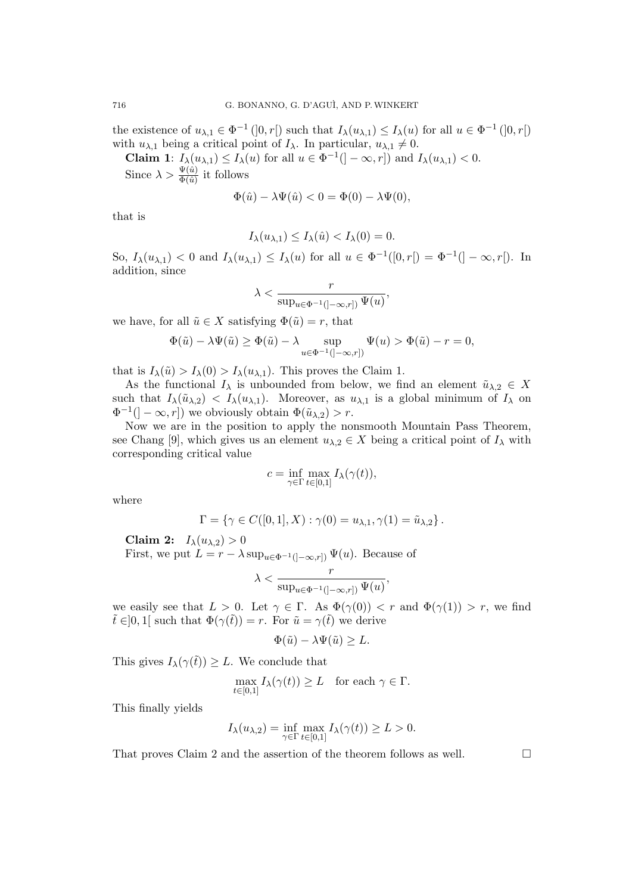the existence of  $u_{\lambda,1} \in \Phi^{-1}(]0,r[)$  such that  $I_\lambda(u_{\lambda,1}) \leq I_\lambda(u)$  for all  $u \in \Phi^{-1}(]0,r[)$ with  $u_{\lambda,1}$  being a critical point of  $I_{\lambda}$ . In particular,  $u_{\lambda,1} \neq 0$ .

**Claim 1**:  $I_\lambda(u_{\lambda,1}) \leq I_\lambda(u)$  for all  $u \in \Phi^{-1}([-\infty, r])$  and  $I_\lambda(u_{\lambda,1}) < 0$ .

Since  $\lambda > \frac{\Psi(\hat{u})}{\Phi(\hat{u})}$  it follows

$$
\Phi(\hat{u}) - \lambda \Psi(\hat{u}) < 0 = \Phi(0) - \lambda \Psi(0),
$$

that is

$$
I_{\lambda}(u_{\lambda,1}) \leq I_{\lambda}(\hat{u}) < I_{\lambda}(0) = 0.
$$

So,  $I_{\lambda}(u_{\lambda,1})$  < 0 and  $I_{\lambda}(u_{\lambda,1}) \leq I_{\lambda}(u)$  for all  $u \in \Phi^{-1}([0,r]) = \Phi^{-1}(]-\infty,r[).$  In addition, since

$$
\lambda < \frac{r}{\sup_{u \in \Phi^{-1}(]-\infty,r])} \, \Psi(u)},
$$

we have, for all  $\tilde{u} \in X$  satisfying  $\Phi(\tilde{u}) = r$ , that

$$
\Phi(\tilde{u}) - \lambda \Psi(\tilde{u}) \ge \Phi(\tilde{u}) - \lambda \sup_{u \in \Phi^{-1}(\mathcal{I} - \infty, r\mathcal{I})} \Psi(u) > \Phi(\tilde{u}) - r = 0,
$$

that is  $I_\lambda(\tilde{u}) > I_\lambda(0) > I_\lambda(u_{\lambda,1})$ . This proves the Claim 1.

As the functional  $I_\lambda$  is unbounded from below, we find an element  $\tilde{u}_{\lambda,2} \in X$ such that  $I_{\lambda}(\tilde{u}_{\lambda,2}) \leq I_{\lambda}(u_{\lambda,1})$ . Moreover, as  $u_{\lambda,1}$  is a global minimum of  $I_{\lambda}$  on  $\Phi^{-1}([- \infty, r])$  we obviously obtain  $\Phi(\tilde{u}_{\lambda,2}) > r$ .

Now we are in the position to apply the nonsmooth Mountain Pass Theorem, see Chang [9], which gives us an element  $u_{\lambda,2} \in X$  being a critical point of  $I_\lambda$  with corresponding critical value

$$
c = \inf_{\gamma \in \Gamma} \max_{t \in [0,1]} I_{\lambda}(\gamma(t)),
$$

where

$$
\Gamma = \{ \gamma \in C([0,1], X) : \gamma(0) = u_{\lambda,1}, \gamma(1) = \tilde{u}_{\lambda,2} \}.
$$

**Claim 2:**  $I_{\lambda}(u_{\lambda,2}) > 0$ 

First, we put  $L = r - \lambda \sup_{u \in \Phi^{-1}(\ ]-\infty,r])} \Psi(u)$ . Because of

$$
\lambda < \frac{r}{\sup_{u \in \Phi^{-1}(]-\infty,r])} \Psi(u)},
$$

we easily see that  $L > 0$ . Let  $\gamma \in \Gamma$ . As  $\Phi(\gamma(0)) < r$  and  $\Phi(\gamma(1)) > r$ , we find  $\tilde{t} \in ]0,1[$  such that  $\Phi(\gamma(\tilde{t})) = r$ . For  $\tilde{u} = \gamma(\tilde{t})$  we derive

$$
\Phi(\tilde{u}) - \lambda \Psi(\tilde{u}) \ge L.
$$

This gives  $I_\lambda(\gamma(\tilde{t})) \geq L$ . We conclude that

$$
\max_{t \in [0,1]} I_{\lambda}(\gamma(t)) \ge L \quad \text{for each } \gamma \in \Gamma.
$$

This finally yields

$$
I_{\lambda}(u_{\lambda,2}) = \inf_{\gamma \in \Gamma} \max_{t \in [0,1]} I_{\lambda}(\gamma(t)) \ge L > 0.
$$

That proves Claim 2 and the assertion of the theorem follows as well.  $\Box$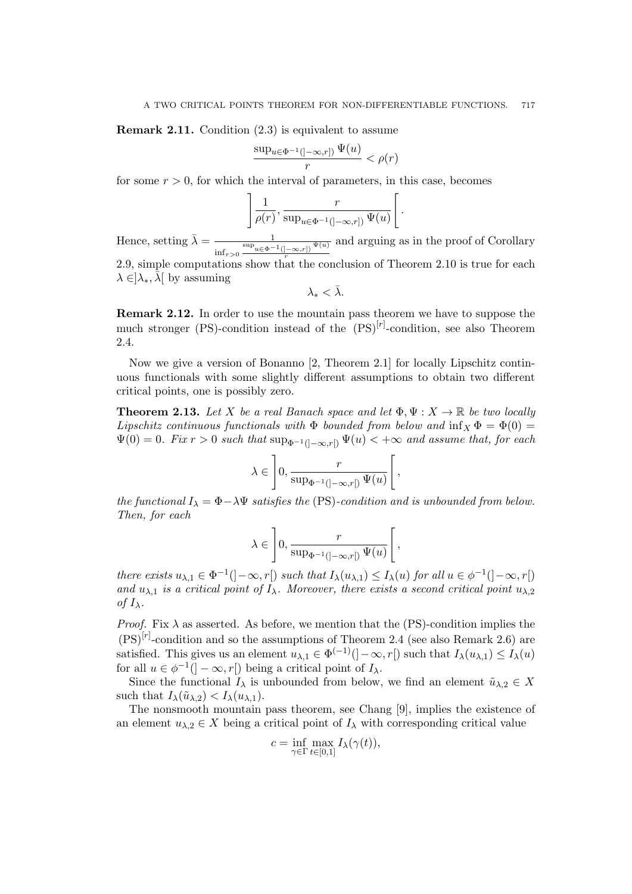**Remark 2.11.** Condition  $(2.3)$  is equivalent to assume

$$
\frac{\sup_{u \in \Phi^{-1}(\left]-\infty,r\right])} \Psi(u)}{r} < \rho(r)
$$

for some  $r > 0$ , for which the interval of parameters, in this case, becomes

$$
\left] \frac{1}{\rho(r)}, \frac{r}{\sup_{u \in \Phi^{-1}(]-\infty, r])} \Psi(u)} \right[.
$$

Hence, setting  $\bar{\lambda} = \frac{1}{\sin \theta}$  $\inf_{r>0} \frac{\sup_{u \in \Phi} -1}{}_{(]-\infty,r])} \frac{\Psi(u)}{r}$ and arguing as in the proof of Corollary 2.9, simple computations show that the conclusion of Theorem 2.10 is true for each  $\lambda \in ]\lambda_*, \bar{\lambda}[$  by assuming

$$
\lambda_*<\bar{\lambda}.
$$

**Remark 2.12.** In order to use the mountain pass theorem we have to suppose the much stronger (PS)-condition instead of the  $(PS)^{[r]}$ -condition, see also Theorem 2.4.

Now we give a version of Bonanno [2, Theorem 2.1] for locally Lipschitz continuous functionals with some slightly different assumptions to obtain two different critical points, one is possibly zero.

**Theorem 2.13.** Let *X* be a real Banach space and let  $\Phi, \Psi : X \to \mathbb{R}$  be two locally *Lipschitz continuous functionals with*  $\Phi$  *bounded from below and*  $\inf_X \Phi = \Phi(0)$  $\Psi(0) = 0$ *. Fix*  $r > 0$  *such that*  $\sup_{\Phi^{-1}([-\infty,r])} \Psi(u) < +\infty$  *and assume that, for each* 

$$
\lambda \in \left]0, \frac{r}{\sup_{\Phi^{-1}(]-\infty, r[)} \Psi(u)}\right[,
$$

*the functional*  $I_{\lambda} = \Phi - \lambda \Psi$  *satisfies the* (PS)*-condition and is unbounded from below. Then, for each*

$$
\lambda \in \left]0, \frac{r}{\sup_{\Phi^{-1}(]-\infty, r[)} \Psi(u)}\right[,
$$

there exists  $u_{\lambda,1} \in \Phi^{-1}([- \infty,r[) \text{ such that } I_{\lambda}(u_{\lambda,1}) \leq I_{\lambda}(u) \text{ for all } u \in \phi^{-1}([- \infty,r[) \text{ and } u \in \phi^{-1}([- \infty,r[] \text{ and } u \in \phi^{-1}([- \infty,r[] \text{ and } u \in \phi^{-1}([- \infty,r[] \text{ and } u \in \phi^{-1}([- \infty,r[] \text{ and } u \in \phi^{-1}([- \infty,r[] \text{ and } u \in \phi^{-1}([- \infty,r[] \text{ and } u \in \phi^{-1}([- \infty$ *and*  $u_{\lambda,1}$  *is a critical point of*  $I_{\lambda}$ *. Moreover, there exists a second critical point*  $u_{\lambda,2}$ *of*  $I_\lambda$ *.* 

*Proof.* Fix  $\lambda$  as asserted. As before, we mention that the (PS)-condition implies the  $(PS)^{[r]}$ -condition and so the assumptions of Theorem 2.4 (see also Remark 2.6) are satisfied. This gives us an element  $u_{\lambda,1} \in \Phi^{(-1)}(]-\infty,r[)$  such that  $I_{\lambda}(u_{\lambda,1}) \leq I_{\lambda}(u)$ for all  $u \in \phi^{-1}(\ ]-\infty,r[)$  being a critical point of  $I_\lambda$ .

Since the functional  $I_\lambda$  is unbounded from below, we find an element  $\tilde{u}_{\lambda,2} \in X$ such that  $I_{\lambda}(\tilde{u}_{\lambda,2}) < I_{\lambda}(u_{\lambda,1}).$ 

The nonsmooth mountain pass theorem, see Chang [9], implies the existence of an element  $u_{\lambda,2} \in X$  being a critical point of  $I_\lambda$  with corresponding critical value

$$
c = \inf_{\gamma \in \Gamma} \max_{t \in [0,1]} I_{\lambda}(\gamma(t)),
$$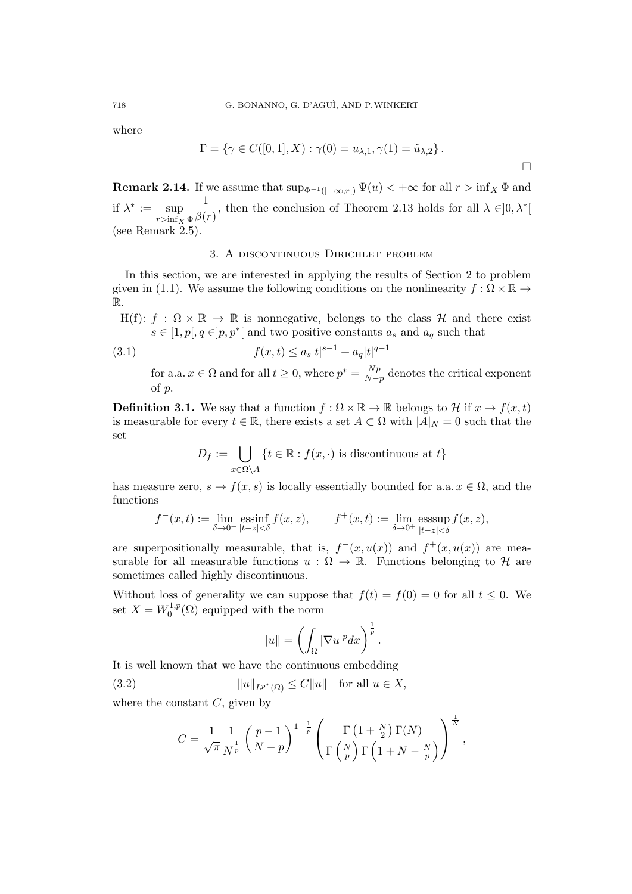where

$$
\Gamma = \{ \gamma \in C([0,1], X) : \gamma(0) = u_{\lambda,1}, \gamma(1) = \tilde{u}_{\lambda,2} \}.
$$

□

**Remark 2.14.** If we assume that  $\sup_{\Phi^{-1}(]-\infty,r[)} \Psi(u) < +\infty$  for all  $r > \inf_X \Phi$  and if  $\lambda^* := \sup$  $r$ >inf<sub>*X*</sub>  $\Phi$ 1  $\frac{1}{\beta(r)}$ , then the conclusion of Theorem 2.13 holds for all  $\lambda \in ]0, \lambda^*[$ (see Remark  $2.5$ ).

### 3. A discontinuous Dirichlet problem

In this section, we are interested in applying the results of Section 2 to problem given in (1.1). We assume the following conditions on the nonlinearity  $f : \Omega \times \mathbb{R} \to$ R.

H(f):  $f : \Omega \times \mathbb{R} \to \mathbb{R}$  is nonnegative, belongs to the class *H* and there exist  $s \in [1, p], q \in ]p, p^*[$  and two positive constants  $a_s$  and  $a_q$  such that

(3.1) 
$$
f(x,t) \leq a_s |t|^{s-1} + a_q |t|^{q-1}
$$

for a.a.  $x \in \Omega$  and for all  $t \geq 0$ , where  $p^* = \frac{Np}{N-1}$ *N−p* denotes the critical exponent of *p*.

**Definition 3.1.** We say that a function  $f: \Omega \times \mathbb{R} \to \mathbb{R}$  belongs to *H* if  $x \to f(x, t)$ is measurable for every  $t \in \mathbb{R}$ , there exists a set  $A \subset \Omega$  with  $|A|_N = 0$  such that the set

$$
D_f := \bigcup_{x \in \Omega \setminus A} \{ t \in \mathbb{R} : f(x, \cdot) \text{ is discontinuous at } t \}
$$

has measure zero,  $s \to f(x, s)$  is locally essentially bounded for a.a.  $x \in \Omega$ , and the functions

$$
f^-(x,t) := \lim_{\delta \to 0^+} \operatorname{essinf}_{|t-z| < \delta} f(x,z), \qquad f^+(x,t) := \lim_{\delta \to 0^+} \operatorname{esssup}_{|t-z| < \delta} f(x,z),
$$

are superpositionally measurable, that is,  $f^-(x, u(x))$  and  $f^+(x, u(x))$  are measurable for all measurable functions  $u : \Omega \to \mathbb{R}$ . Functions belonging to *H* are sometimes called highly discontinuous.

Without loss of generality we can suppose that  $f(t) = f(0) = 0$  for all  $t \leq 0$ . We set  $X = W_0^{1,p}$  $\chi_0^{1,p}(\Omega)$  equipped with the norm

$$
||u|| = \left(\int_{\Omega} |\nabla u|^p dx\right)^{\frac{1}{p}}.
$$

It is well known that we have the continuous embedding

(3.2)  $||u||_{L^{p^*}(\Omega)} \leq C||u||$  for all  $u \in X$ ,

where the constant *C*, given by

$$
C = \frac{1}{\sqrt{\pi}} \frac{1}{N^{\frac{1}{p}}} \left(\frac{p-1}{N-p}\right)^{1-\frac{1}{p}} \left(\frac{\Gamma\left(1+\frac{N}{2}\right)\Gamma(N)}{\Gamma\left(\frac{N}{p}\right)\Gamma\left(1+N-\frac{N}{p}\right)}\right)^{\frac{1}{N}},
$$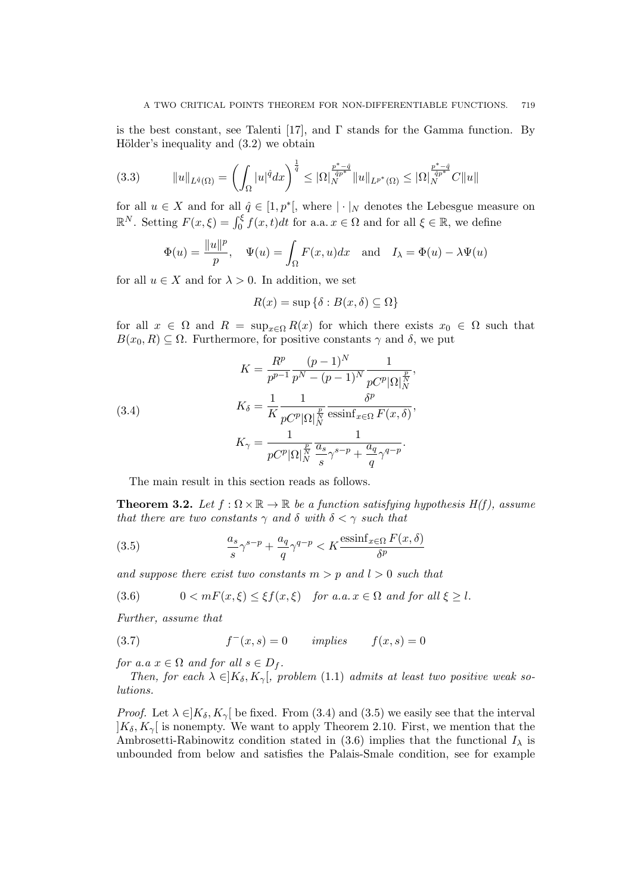is the best constant, see Talenti [17], and  $\Gamma$  stands for the Gamma function. By Hölder's inequality and  $(3.2)$  we obtain

$$
(3.3) \t\t ||u||_{L^{\hat{q}}(\Omega)} = \left(\int_{\Omega} |u|^{\hat{q}} dx\right)^{\frac{1}{\hat{q}}} \leq |\Omega|_{N}^{\frac{p^{*}-\hat{q}}{\hat{q}p^{*}}}||u||_{L^{p^{*}}(\Omega)} \leq |\Omega|_{N}^{\frac{p^{*}-\hat{q}}{\hat{q}p^{*}}}C||u||
$$

for all  $u \in X$  and for all  $\hat{q} \in [1, p^*]$ , where  $| \cdot |_N$  denotes the Lebesgue measure on  $\mathbb{R}^N$ . Setting  $F(x,\xi) = \int_0^{\xi} f(x,t)dt$  for a.a.  $x \in \Omega$  and for all  $\xi \in \mathbb{R}$ , we define

$$
\Phi(u) = \frac{\|u\|^p}{p}, \quad \Psi(u) = \int_{\Omega} F(x, u) dx \quad \text{and} \quad I_{\lambda} = \Phi(u) - \lambda \Psi(u)
$$

for all  $u \in X$  and for  $\lambda > 0$ . In addition, we set

$$
R(x) = \sup \{ \delta : B(x, \delta) \subseteq \Omega \}
$$

for all  $x \in \Omega$  and  $R = \sup_{x \in \Omega} R(x)$  for which there exists  $x_0 \in \Omega$  such that  $B(x_0, R) \subseteq \Omega$ . Furthermore, for positive constants  $\gamma$  and  $\delta$ , we put

(3.4)  
\n
$$
K = \frac{R^p}{p^{p-1}} \frac{(p-1)^N}{p^N - (p-1)^N} \frac{1}{pC^p |\Omega|_N^{\frac{p}{N}}},
$$
\n
$$
K_{\delta} = \frac{1}{K} \frac{1}{pC^p |\Omega|_N^{\frac{p}{N}}} \frac{\delta^p}{\text{essinf}_{x \in \Omega} F(x, \delta)},
$$
\n
$$
K_{\gamma} = \frac{1}{pC^p |\Omega|_N^{\frac{p}{N}}} \frac{1}{\frac{a_s}{s} \gamma^{s-p} + \frac{a_q}{q} \gamma^{q-p}}.
$$

The main result in this section reads as follows.

**Theorem 3.2.** Let  $f : \Omega \times \mathbb{R} \to \mathbb{R}$  be a function satisfying hypothesis  $H(f)$ , assume *that there are two constants*  $\gamma$  *and*  $\delta$  *with*  $\delta < \gamma$  *such that* 

(3.5) 
$$
\frac{a_s}{s}\gamma^{s-p} + \frac{a_q}{q}\gamma^{q-p} < K \frac{\operatorname{essinf}_{x \in \Omega} F(x,\delta)}{\delta^p}
$$

*and suppose there exist two constants*  $m > p$  *and*  $l > 0$  *such that* 

$$
(3.6) \t 0 < mF(x,\xi) \le \xi f(x,\xi) \t \text{for a.a. } x \in \Omega \text{ and for all } \xi \ge l.
$$

*Further, assume that*

(3.7) 
$$
f^-(x,s) = 0 \quad implies \quad f(x,s) = 0
$$

*for a.a*  $x \in \Omega$  *and for all*  $s \in D_f$ .

*Then, for each*  $\lambda \in ]K_\delta, K_\gamma[$ , problem (1.1) *admits at least two positive weak solutions.*

*Proof.* Let  $\lambda \in K_{\delta}$ ,  $K_{\gamma}$  be fixed. From (3.4) and (3.5) we easily see that the interval  $|K_{\delta}, K_{\gamma}|$  is nonempty. We want to apply Theorem 2.10. First, we mention that the Ambrosetti-Rabinowitz condition stated in  $(3.6)$  implies that the functional  $I_{\lambda}$  is unbounded from below and satisfies the Palais-Smale condition, see for example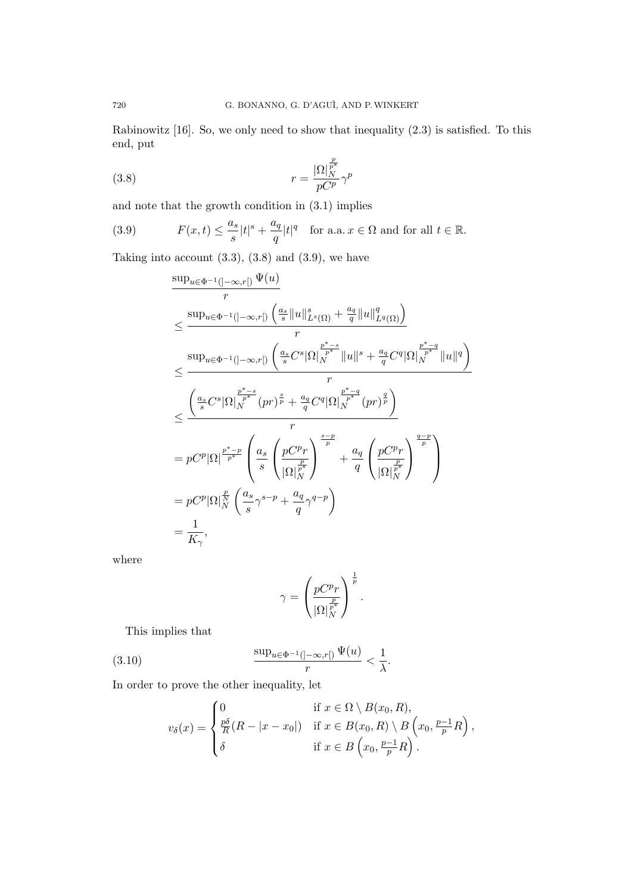Rabinowitz [16]. So, we only need to show that inequality (2.3) is satisfied. To this end, put

(3.8) 
$$
r = \frac{|\Omega|_N^{\frac{p}{p^*}}}{pC^p} \gamma^p
$$

and note that the growth condition in (3.1) implies

(3.9) 
$$
F(x,t) \leq \frac{a_s}{s} |t|^s + \frac{a_q}{q} |t|^q \text{ for a.a. } x \in \Omega \text{ and for all } t \in \mathbb{R}.
$$

Taking into account  $(3.3)$ ,  $(3.8)$  and  $(3.9)$ , we have

$$
\frac{\sup_{u\in\Phi^{-1}(]-\infty,r[)}\Psi(u)}{r}
$$
\n
$$
\leq \frac{\sup_{u\in\Phi^{-1}(-\infty,r[)}\left(\frac{a_s}{s}\|u\|_{L^s(\Omega)}^s + \frac{a_q}{q}\|u\|_{L^q(\Omega)}^q\right)}{r}
$$
\n
$$
\leq \frac{\sup_{u\in\Phi^{-1}(-\infty,r[)}\left(\frac{a_s}{s}C^s|\Omega|_{N}^{\frac{p^* - s}{p^*}}\|u\|^{s} + \frac{a_q}{q}C^q|\Omega|_{N}^{\frac{p^* - q}{p^*}}\|u\|^{q}\right)}{r}
$$
\n
$$
\leq \frac{\left(\frac{a_s}{s}C^s|\Omega|_{N}^{\frac{p^* - s}{p^*}}(pr)^{\frac{s}{p}} + \frac{a_q}{q}C^q|\Omega|_{N}^{\frac{p^* - q}{p^*}}(pr)^{\frac{q}{p}}\right)}{r}
$$
\n
$$
= pC^p|\Omega|^{\frac{p^* - p}{p^*}}\left(\frac{a_s}{s}\left(\frac{pC^p r}{|\Omega|_{N}^{\frac{p}{p^*}}}\right)^{\frac{s-p}{p}} + \frac{a_q}{q}\left(\frac{pC^p r}{|\Omega|_{N}^{\frac{p}{p^*}}}\right)^{\frac{q-p}{p}}\right)
$$
\n
$$
= pC^p|\Omega|_N^{\frac{p}{p}}\left(\frac{a_s}{s}\gamma^{s-p} + \frac{a_q}{q}\gamma^{q-p}\right)
$$
\n
$$
= \frac{1}{K_{\gamma}},
$$

where

$$
\gamma = \left(\frac{pC^p r}{|\Omega|_N^{\frac{p}{p^*}}}\right)^{\frac{1}{p}}.
$$

This implies that

(3.10) 
$$
\frac{\sup_{u \in \Phi^{-1}(\ ]-\infty,r[)} \Psi(u)}{r} < \frac{1}{\lambda}.
$$

In order to prove the other inequality, let

$$
v_{\delta}(x) = \begin{cases} 0 & \text{if } x \in \Omega \setminus B(x_0, R), \\ \frac{p\delta}{R}(R - |x - x_0|) & \text{if } x \in B(x_0, R) \setminus B\left(x_0, \frac{p-1}{p}R\right), \\ \delta & \text{if } x \in B\left(x_0, \frac{p-1}{p}R\right). \end{cases}
$$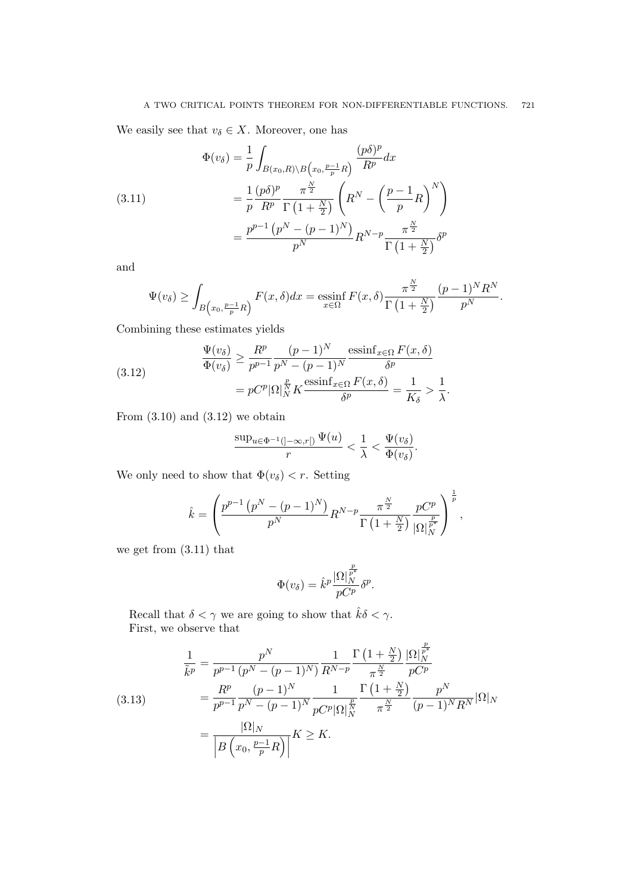We easily see that  $v_{\delta} \in X$ . Moreover, one has

(3.11) 
$$
\Phi(v_{\delta}) = \frac{1}{p} \int_{B(x_0, R) \backslash B\left(x_0, \frac{p-1}{p}R\right)} \frac{(p\delta)^p}{R^p} dx
$$

$$
= \frac{1}{p} \frac{(p\delta)^p}{R^p} \frac{\pi^{\frac{N}{2}}}{\Gamma\left(1 + \frac{N}{2}\right)} \left(R^N - \left(\frac{p-1}{p}R\right)^N\right)
$$

$$
= \frac{p^{p-1}\left(p^N - (p-1)^N\right)}{p^N} R^{N-p} \frac{\pi^{\frac{N}{2}}}{\Gamma\left(1 + \frac{N}{2}\right)} \delta^p
$$

and

$$
\Psi(v_{\delta}) \ge \int_{B\left(x_0, \frac{p-1}{p}R\right)} F(x,\delta) dx = \operatorname*{essinf}_{x \in \Omega} F(x,\delta) \frac{\pi^{\frac{N}{2}}}{\Gamma\left(1 + \frac{N}{2}\right)} \frac{(p-1)^N R^N}{p^N}.
$$

*N*

Combining these estimates yields

(3.12) 
$$
\frac{\Psi(v_{\delta})}{\Phi(v_{\delta})} \geq \frac{R^p}{p^{p-1}} \frac{(p-1)^N}{p^N - (p-1)^N} \frac{\operatorname{essinf}_{x \in \Omega} F(x, \delta)}{\delta^p} = pC^p |\Omega|_N^{\frac{p}{N}} K \frac{\operatorname{essinf}_{x \in \Omega} F(x, \delta)}{\delta^p} = \frac{1}{K_{\delta}} > \frac{1}{\lambda}.
$$

From  $(3.10)$  and  $(3.12)$  we obtain

$$
\frac{\sup_{u\in \Phi^{-1}(]-\infty,r[)}\Psi(u)}{r}<\frac{1}{\lambda}<\frac{\Psi(v_{\delta})}{\Phi(v_{\delta})}.
$$

We only need to show that  $\Phi(v_\delta) < r$ . Setting

$$
\hat{k} = \left(\frac{p^{p-1} (p^N - (p-1)^N)}{p^N} R^{N-p} \frac{\pi^{\frac{N}{2}}}{\Gamma(1 + \frac{N}{2})} \frac{p C^p}{|\Omega|_N^{\frac{p}{p^*}}}\right)^{\frac{1}{p}},
$$

we get from (3.11) that

$$
\Phi(v_{\delta}) = \hat{k}^{p} \frac{|\Omega|_{N}^{\frac{p}{p^{*}}}}{pC^{p}} \delta^{p}.
$$

Recall that  $\delta < \gamma$  we are going to show that  $\hat k \delta < \gamma.$ First, we observe that

$$
\frac{1}{\tilde{k}^p} = \frac{p^N}{p^{p-1} (p^N - (p-1)^N)} \frac{1}{R^{N-p}} \frac{\Gamma\left(1 + \frac{N}{2}\right)}{\pi^{\frac{N}{2}}} \frac{|\Omega|_N^{\frac{p}{p^*}}}{pC^p}
$$
\n
$$
(3.13) \qquad \qquad = \frac{R^p}{p^{p-1}} \frac{(p-1)^N}{p^N - (p-1)^N} \frac{1}{pC^p |\Omega|_N^{\frac{p}{2}}} \frac{\Gamma\left(1 + \frac{N}{2}\right)}{\pi^{\frac{N}{2}}} \frac{p^N}{(p-1)^N R^N} |\Omega|_N
$$
\n
$$
= \frac{|\Omega|_N}{\left|B\left(x_0, \frac{p-1}{p}R\right)\right|} K \ge K.
$$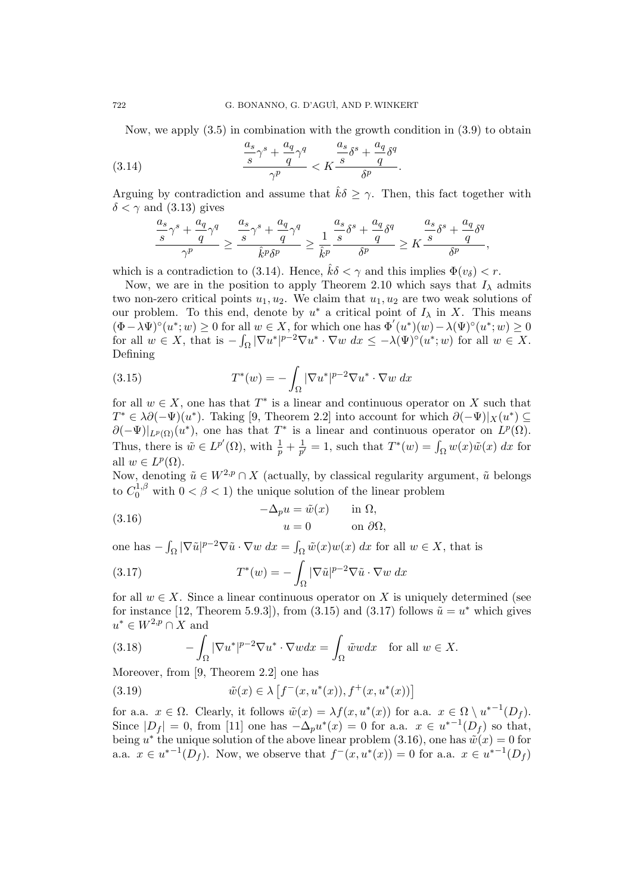Now, we apply  $(3.5)$  in combination with the growth condition in  $(3.9)$  to obtain

(3.14) 
$$
\frac{\frac{a_s}{s}\gamma^s + \frac{a_q}{q}\gamma^q}{\gamma^p} < K \frac{\frac{a_s}{s}\delta^s + \frac{a_q}{q}\delta^q}{\delta^p}.
$$

Arguing by contradiction and assume that  $\hat{k}\delta > \gamma$ . Then, this fact together with  $\delta < \gamma$  and (3.13) gives

$$
\frac{\frac{a_s}{s}\gamma^s + \frac{a_q}{q}\gamma^q}{\gamma^p} \geq \frac{\frac{a_s}{s}\gamma^s + \frac{a_q}{q}\gamma^q}{\hat{k}^p\delta^p} \geq \frac{1}{\hat{k}^p}\frac{\frac{a_s}{s}\delta^s + \frac{a_q}{q}\delta^q}{\delta^p} \geq K\frac{\frac{a_s}{s}\delta^s + \frac{a_q}{q}\delta^q}{\delta^p},
$$

which is a contradiction to (3.14). Hence,  $\hat{k}\delta < \gamma$  and this implies  $\Phi(v_{\delta}) < r$ .

Now, we are in the position to apply Theorem 2.10 which says that  $I_\lambda$  admits two non-zero critical points  $u_1, u_2$ . We claim that  $u_1, u_2$  are two weak solutions of our problem. To this end, denote by  $u^*$  a critical point of  $I_\lambda$  in X. This means  $(\Phi - \lambda \Psi)^{\circ}(u^*; w) \ge 0$  for all  $w \in X$ , for which one has  $\Phi'(u^*)(w) - \lambda(\Psi)^{\circ}(u^*; w) \ge 0$ for all  $w \in X$ , that is  $-\int_{\Omega} |\nabla u^*|^{p-2} \nabla u^* \cdot \nabla w \, dx \leq -\lambda(\Psi)^{\circ}(u^*; w)$  for all  $w \in X$ . Defining

(3.15) 
$$
T^*(w) = -\int_{\Omega} |\nabla u^*|^{p-2} \nabla u^* \cdot \nabla w \, dx
$$

for all  $w \in X$ , one has that  $T^*$  is a linear and continuous operator on X such that *T*<sup>\*</sup>  $\in \lambda \partial (-\Psi)(u^*)$ . Taking [9, Theorem 2.2] into account for which  $\partial (-\Psi)|_X(u^*) \subseteq$  $\partial(-\Psi)|_{L^p(\Omega)}(u^*)$ , one has that  $T^*$  is a linear and continuous operator on  $L^p(\Omega)$ . Thus, there is  $\tilde{w} \in L^{p'}(\Omega)$ , with  $\frac{1}{p} + \frac{1}{p'}$  $\frac{1}{p'} = 1$ , such that  $T^*(w) = \int_{\Omega} w(x) \tilde{w}(x) dx$  for all  $w \in L^p(\Omega)$ .

Now, denoting  $\tilde{u} \in W^{2,p} \cap X$  (actually, by classical regularity argument,  $\tilde{u}$  belongs to  $C_0^{1,\beta}$  with  $0 < \beta < 1$ ) the unique solution of the linear problem

(3.16) 
$$
-\Delta_p u = \tilde{w}(x) \quad \text{in } \Omega, u = 0 \quad \text{on } \partial\Omega,
$$

one has  $-\int_{\Omega} |\nabla \tilde{u}|^{p-2} \nabla \tilde{u} \cdot \nabla w \, dx = \int_{\Omega} \tilde{w}(x) w(x) \, dx$  for all  $w \in X$ , that is

(3.17) 
$$
T^*(w) = -\int_{\Omega} |\nabla \tilde{u}|^{p-2} \nabla \tilde{u} \cdot \nabla w \, dx
$$

for all  $w \in X$ . Since a linear continuous operator on X is uniquely determined (see for instance [12, Theorem 5.9.3]), from  $(3.15)$  and  $(3.17)$  follows  $\tilde{u} = u^*$  which gives  $u^* \in W^{2,p} \cap X$  and

(3.18) 
$$
-\int_{\Omega} |\nabla u^*|^{p-2} \nabla u^* \cdot \nabla w dx = \int_{\Omega} \tilde{w}w dx \text{ for all } w \in X.
$$

Moreover, from [9, Theorem 2.2] one has

(3.19) 
$$
\tilde{w}(x) \in \lambda \left[ f^-(x, u^*(x)), f^+(x, u^*(x)) \right]
$$

for a.a.  $x \in \Omega$ . Clearly, it follows  $\tilde{w}(x) = \lambda f(x, u^*(x))$  for a.a.  $x \in \Omega \setminus u^{*-1}(D_f)$ . Since  $|D_f| = 0$ , from [11] one has  $-\Delta_p u^*(x) = 0$  for a.a.  $x \in u^{*-1}(D_f)$  so that, being *u*<sup>\*</sup> the unique solution of the above linear problem (3.16), one has  $\tilde{w}(x) = 0$  for a.a. *x* ∈  $u^{*-1}(D_f)$ . Now, we observe that  $f^-(x, u^*(x)) = 0$  for a.a.  $x \in u^{*-1}(D_f)$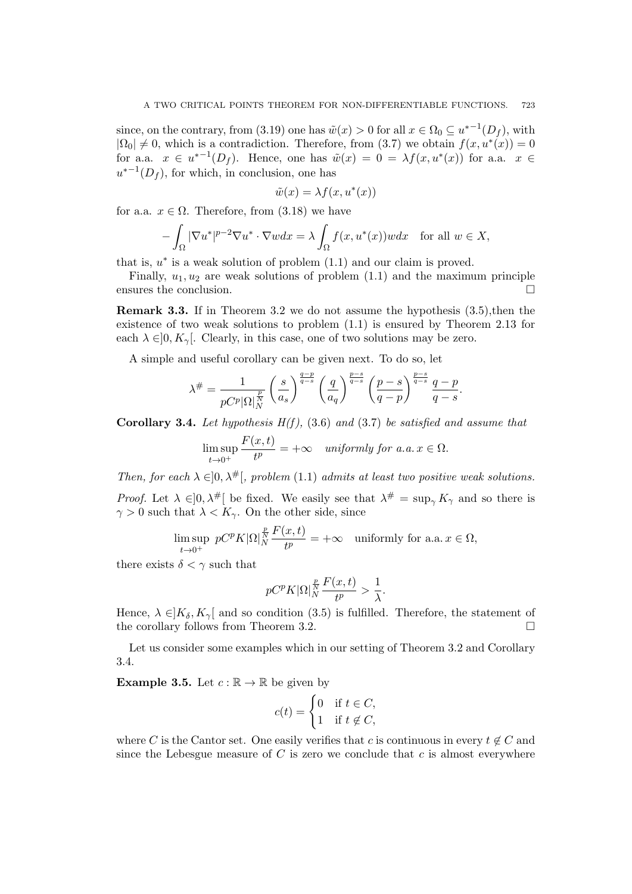since, on the contrary, from (3.19) one has  $\tilde{w}(x) > 0$  for all  $x \in \Omega_0 \subseteq u^{*-1}(D_f)$ , with  $|\Omega_0| \neq 0$ , which is a contradiction. Therefore, from (3.7) we obtain  $f(x, u^*(x)) = 0$ for a.a.  $x \in u^{*-1}(D_f)$ . Hence, one has  $\tilde{w}(x) = 0 = \lambda f(x, u^*(x))$  for a.a.  $x \in$  $u^{*-1}(D_f)$ , for which, in conclusion, one has

$$
\tilde{w}(x) = \lambda f(x, u^*(x))
$$

for a.a.  $x \in \Omega$ . Therefore, from (3.18) we have

$$
-\int_{\Omega} |\nabla u^*|^{p-2} \nabla u^* \cdot \nabla w dx = \lambda \int_{\Omega} f(x, u^*(x))w dx \quad \text{for all } w \in X,
$$

that is,  $u^*$  is a weak solution of problem  $(1.1)$  and our claim is proved.

Finally,  $u_1, u_2$  are weak solutions of problem  $(1.1)$  and the maximum principle ensures the conclusion. □

**Remark 3.3.** If in Theorem 3.2 we do not assume the hypothesis (3.5),then the existence of two weak solutions to problem (1.1) is ensured by Theorem 2.13 for each  $\lambda \in ]0, K_\gamma[$ . Clearly, in this case, one of two solutions may be zero.

A simple and useful corollary can be given next. To do so, let

$$
\lambda^{\#} = \frac{1}{pC^p |\Omega|_N^{\frac{p}{N}}} \left(\frac{s}{a_s}\right)^{\frac{q-p}{q-s}} \left(\frac{q}{a_q}\right)^{\frac{p-s}{q-s}} \left(\frac{p-s}{q-p}\right)^{\frac{p-s}{q-s}} \frac{q-p}{q-s}.
$$

**Corollary 3.4.** Let hypothesis  $H(f)$ , (3.6) and (3.7) be satisfied and assume that

$$
\limsup_{t \to 0^+} \frac{F(x,t)}{t^p} = +\infty \quad \text{uniformly for a.a. } x \in \Omega.
$$

*Then, for each*  $\lambda \in ]0, \lambda^{\#}[\$ *, problem* (1.1) *admits at least two positive weak solutions.* 

*Proof.* Let  $\lambda \in ]0, \lambda^{\#}[$  be fixed. We easily see that  $\lambda^{\#} = \sup_{\gamma} K_{\gamma}$  and so there is  $\gamma > 0$  such that  $\lambda < K_{\gamma}$ . On the other side, since

$$
\limsup_{t \to 0^+} pC^p K |\Omega|_N^{\frac{p}{N}} \frac{F(x,t)}{t^p} = +\infty \quad \text{uniformly for a.a. } x \in \Omega,
$$

there exists  $\delta < \gamma$  such that

$$
pC^{p}K|\Omega|_{N}^{\frac{p}{N}}\frac{F(x,t)}{t^{p}} > \frac{1}{\lambda}.
$$

Hence,  $\lambda \in K_{\delta}$ ,  $K_{\gamma}$  and so condition (3.5) is fulfilled. Therefore, the statement of the corollary follows from Theorem 3.2. □

Let us consider some examples which in our setting of Theorem 3.2 and Corollary 3.4.

**Example 3.5.** Let  $c : \mathbb{R} \to \mathbb{R}$  be given by

$$
c(t) = \begin{cases} 0 & \text{if } t \in C, \\ 1 & \text{if } t \notin C, \end{cases}
$$

where *C* is the Cantor set. One easily verifies that *c* is continuous in every  $t \notin C$  and since the Lebesgue measure of  $C$  is zero we conclude that  $c$  is almost everywhere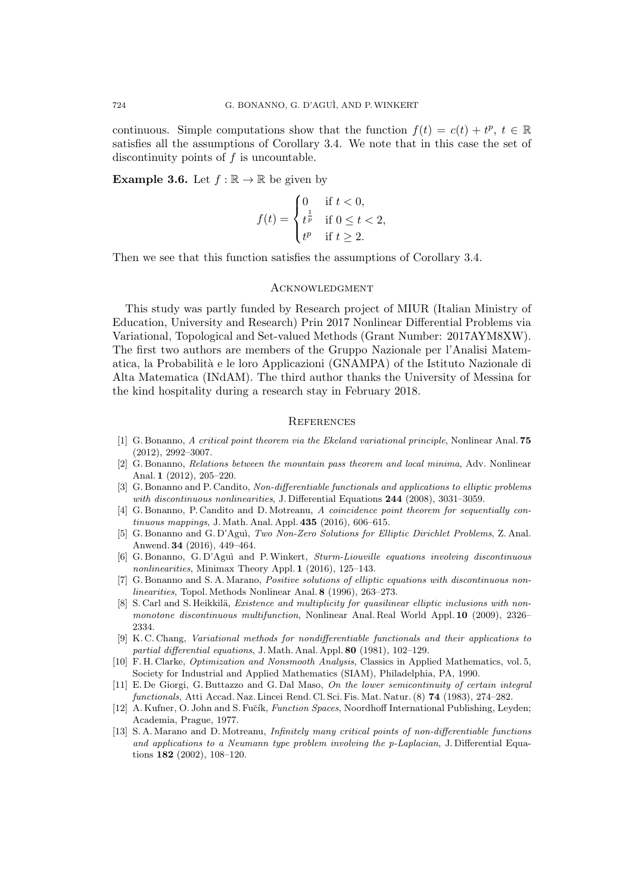continuous. Simple computations show that the function  $f(t) = c(t) + t^p$ ,  $t \in \mathbb{R}$ satisfies all the assumptions of Corollary 3.4. We note that in this case the set of discontinuity points of *f* is uncountable.

**Example 3.6.** Let  $f : \mathbb{R} \to \mathbb{R}$  be given by

$$
f(t) = \begin{cases} 0 & \text{if } t < 0, \\ t^{\frac{1}{p}} & \text{if } 0 \le t < 2, \\ t^p & \text{if } t \ge 2. \end{cases}
$$

Then we see that this function satisfies the assumptions of Corollary 3.4.

#### **ACKNOWLEDGMENT**

This study was partly funded by Research project of MIUR (Italian Ministry of Education, University and Research) Prin 2017 Nonlinear Differential Problems via Variational, Topological and Set-valued Methods (Grant Number: 2017AYM8XW). The first two authors are members of the Gruppo Nazionale per l'Analisi Matematica, la Probabilit`a e le loro Applicazioni (GNAMPA) of the Istituto Nazionale di Alta Matematica (INdAM). The third author thanks the University of Messina for the kind hospitality during a research stay in February 2018.

#### **REFERENCES**

- [1] G. Bonanno, *A critical point theorem via the Ekeland variational principle*, Nonlinear Anal. **75** (2012), 2992–3007.
- [2] G. Bonanno, *Relations between the mountain pass theorem and local minima*, Adv. Nonlinear Anal. **1** (2012), 205–220.
- [3] G. Bonanno and P. Candito, *Non-differentiable functionals and applications to elliptic problems with discontinuous nonlinearities*, J. Differential Equations **244** (2008), 3031–3059.
- [4] G. Bonanno, P. Candito and D. Motreanu, *A coincidence point theorem for sequentially continuous mappings*, J. Math. Anal. Appl. **435** (2016), 606–615.
- [5] G. Bonanno and G. D'Agu`ı, *Two Non-Zero Solutions for Elliptic Dirichlet Problems*, Z. Anal. Anwend. **34** (2016), 449–464.
- [6] G. Bonanno, G. D'Agu`ı and P.Winkert, *Sturm-Liouville equations involving discontinuous nonlinearities*, Minimax Theory Appl. **1** (2016), 125–143.
- [7] G. Bonanno and S. A. Marano, *Positive solutions of elliptic equations with discontinuous nonlinearities*, Topol. Methods Nonlinear Anal. **8** (1996), 263–273.
- [8] S. Carl and S. Heikkilä, *Existence and multiplicity for quasilinear elliptic inclusions with nonmonotone discontinuous multifunction*, Nonlinear Anal. Real World Appl. **10** (2009), 2326– 2334.
- [9] K. C. Chang, *Variational methods for nondifferentiable functionals and their applications to partial differential equations*, J. Math. Anal. Appl. **80** (1981), 102–129.
- [10] F. H. Clarke, *Optimization and Nonsmooth Analysis*, Classics in Applied Mathematics, vol. 5, Society for Industrial and Applied Mathematics (SIAM), Philadelphia, PA, 1990.
- [11] E. De Giorgi, G. Buttazzo and G. Dal Maso, *On the lower semicontinuity of certain integral functionals*, Atti Accad. Naz. Lincei Rend. Cl. Sci. Fis. Mat. Natur. (8) **74** (1983), 274–282.
- [12] A. Kufner, O. John and S. Fučík, *Function Spaces*, Noordhoff International Publishing, Leyden; Academia, Prague, 1977.
- [13] S. A. Marano and D. Motreanu, *Infinitely many critical points of non-differentiable functions and applications to a Neumann type problem involving the p-Laplacian*, J. Differential Equations **182** (2002), 108–120.